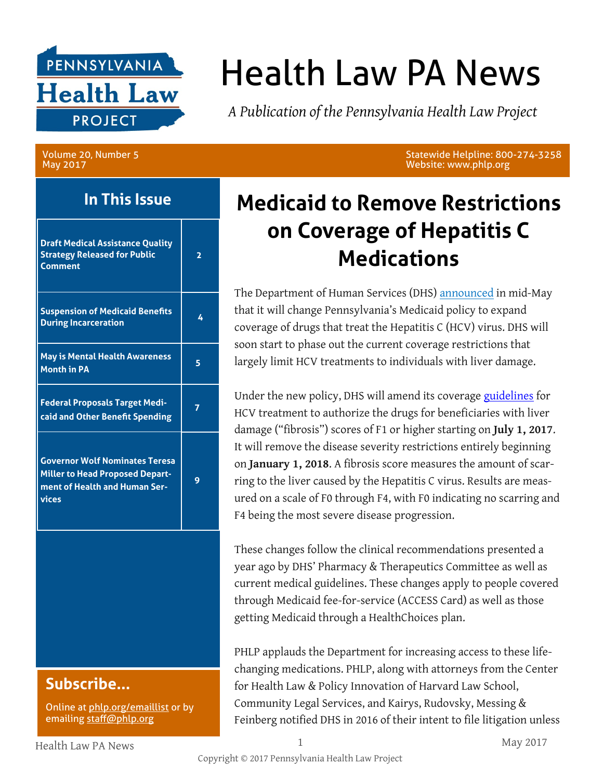

# Health Law PA News

*A Publication of the Pennsylvania Health Law Project*

Volume 20, Number 5 May 2017

### **In This Issue**

| <b>Draft Medical Assistance Quality</b><br><b>Strategy Released for Public</b><br>Comment                                 | 2 |
|---------------------------------------------------------------------------------------------------------------------------|---|
| <b>Suspension of Medicaid Benefits</b><br><b>During Incarceration</b>                                                     | 4 |
| <b>May is Mental Health Awareness</b><br><b>Month in PA</b>                                                               | 5 |
| <b>Federal Proposals Target Medi-</b><br>caid and Other Benefit Spending                                                  |   |
| <b>Governor Wolf Nominates Teresa</b><br><b>Miller to Head Proposed Depart-</b><br>ment of Health and Human Ser-<br>vices | 9 |

### **Subscribe...**

Online at [phlp.org/emaillist](http://www.phlp.org/home-page/emaillist) or by emailing [staff@phlp.org](mailto:staff@phlp.org)

Statewide Helpline: 800-274-3258 Website: www.phlp.org

# **Medicaid to Remove Restrictions on Coverage of Hepatitis C Medications**

The Department of Human Services (DHS) [announced](http://www.media.pa.gov/Pages/DHS_details.aspx?newsid=258) in mid-May that it will change Pennsylvania's Medicaid policy to expand coverage of drugs that treat the Hepatitis C (HCV) virus. DHS will soon start to phase out the current coverage restrictions that largely limit HCV treatments to individuals with liver damage.

Under the new policy, DHS will amend its coverage [guidelines](http://www.dhs.pa.gov/cs/groups/webcontent/documents/bulletin_admin/c_194652.pdf) for HCV treatment to authorize the drugs for beneficiaries with liver damage ("fibrosis") scores of F1 or higher starting on **July 1, 2017**. It will remove the disease severity restrictions entirely beginning on **January 1, 2018**. A fibrosis score measures the amount of scarring to the liver caused by the Hepatitis C virus. Results are measured on a scale of F0 through F4, with F0 indicating no scarring and F4 being the most severe disease progression.

These changes follow the clinical recommendations presented a year ago by DHS' Pharmacy & Therapeutics Committee as well as current medical guidelines. These changes apply to people covered through Medicaid fee-for-service (ACCESS Card) as well as those getting Medicaid through a HealthChoices plan.

PHLP applauds the Department for increasing access to these lifechanging medications. PHLP, along with attorneys from the Center for Health Law & Policy Innovation of Harvard Law School, Community Legal Services, and Kairys, Rudovsky, Messing & Feinberg notified DHS in 2016 of their intent to file litigation unless

Health Law PA News 1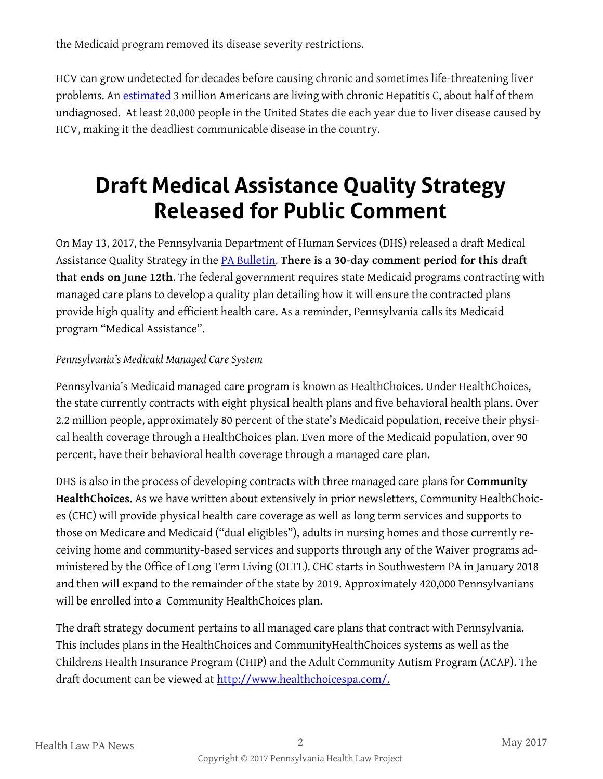the Medicaid program removed its disease severity restrictions.

HCV can grow undetected for decades before causing chronic and sometimes life-threatening liver problems. An [estimated](https://hepvu.org/state/pennsylvania/) 3 million Americans are living with chronic Hepatitis C, about half of them undiagnosed. At least 20,000 people in the United States die each year due to liver disease caused by HCV, making it the deadliest communicable disease in the country.

# **Draft Medical Assistance Quality Strategy Released for Public Comment**

On May 13, 2017, the Pennsylvania Department of Human Services (DHS) released a draft Medical Assistance Quality Strategy in the [PA Bulletin.](http://www.pabulletin.com/secure/data/vol47/47-19/828.html) **There is a 30-day comment period for this draft that ends on June 12th**. The federal government requires state Medicaid programs contracting with managed care plans to develop a quality plan detailing how it will ensure the contracted plans provide high quality and efficient health care. As a reminder, Pennsylvania calls its Medicaid program "Medical Assistance".

#### *Pennsylvania's Medicaid Managed Care System*

Pennsylvania's Medicaid managed care program is known as HealthChoices. Under HealthChoices, the state currently contracts with eight physical health plans and five behavioral health plans. Over 2.2 million people, approximately 80 percent of the state's Medicaid population, receive their physical health coverage through a HealthChoices plan. Even more of the Medicaid population, over 90 percent, have their behavioral health coverage through a managed care plan.

DHS is also in the process of developing contracts with three managed care plans for **Community HealthChoices**. As we have written about extensively in prior newsletters, Community HealthChoices (CHC) will provide physical health care coverage as well as long term services and supports to those on Medicare and Medicaid ("dual eligibles"), adults in nursing homes and those currently receiving home and community-based services and supports through any of the Waiver programs administered by the Office of Long Term Living (OLTL). CHC starts in Southwestern PA in January 2018 and then will expand to the remainder of the state by 2019. Approximately 420,000 Pennsylvanians will be enrolled into a Community HealthChoices plan.

The draft strategy document pertains to all managed care plans that contract with Pennsylvania. This includes plans in the HealthChoices and CommunityHealthChoices systems as well as the Childrens Health Insurance Program (CHIP) and the Adult Community Autism Program (ACAP). The draft document can be viewed at [http://www.healthchoicespa.com/.](http://www.healthchoicespa.com/)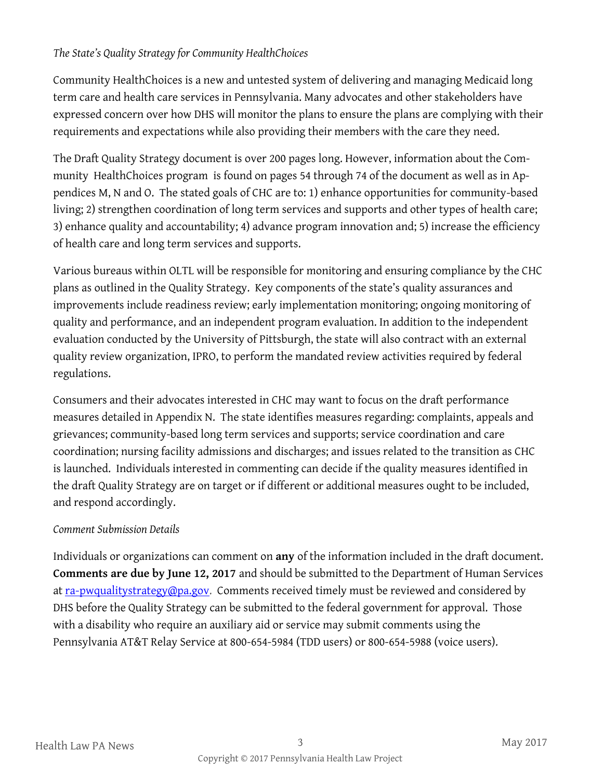#### *The State's Quality Strategy for Community HealthChoices*

Community HealthChoices is a new and untested system of delivering and managing Medicaid long term care and health care services in Pennsylvania. Many advocates and other stakeholders have expressed concern over how DHS will monitor the plans to ensure the plans are complying with their requirements and expectations while also providing their members with the care they need.

The Draft Quality Strategy document is over 200 pages long. However, information about the Community HealthChoices program is found on pages 54 through 74 of the document as well as in Appendices M, N and O. The stated goals of CHC are to: 1) enhance opportunities for community-based living; 2) strengthen coordination of long term services and supports and other types of health care; 3) enhance quality and accountability; 4) advance program innovation and; 5) increase the efficiency of health care and long term services and supports.

Various bureaus within OLTL will be responsible for monitoring and ensuring compliance by the CHC plans as outlined in the Quality Strategy. Key components of the state's quality assurances and improvements include readiness review; early implementation monitoring; ongoing monitoring of quality and performance, and an independent program evaluation. In addition to the independent evaluation conducted by the University of Pittsburgh, the state will also contract with an external quality review organization, IPRO, to perform the mandated review activities required by federal regulations.

Consumers and their advocates interested in CHC may want to focus on the draft performance measures detailed in Appendix N. The state identifies measures regarding: complaints, appeals and grievances; community-based long term services and supports; service coordination and care coordination; nursing facility admissions and discharges; and issues related to the transition as CHC is launched. Individuals interested in commenting can decide if the quality measures identified in the draft Quality Strategy are on target or if different or additional measures ought to be included, and respond accordingly.

#### *Comment Submission Details*

Individuals or organizations can comment on **any** of the information included in the draft document. **Comments are due by June 12, 2017** and should be submitted to the Department of Human Services at [ra-pwqualitystrategy@pa.gov.](mailto:ra-pwqualitystrategy@pa.gov) Comments received timely must be reviewed and considered by DHS before the Quality Strategy can be submitted to the federal government for approval. Those with a disability who require an auxiliary aid or service may submit comments using the Pennsylvania AT&T Relay Service at 800-654-5984 (TDD users) or 800-654-5988 (voice users).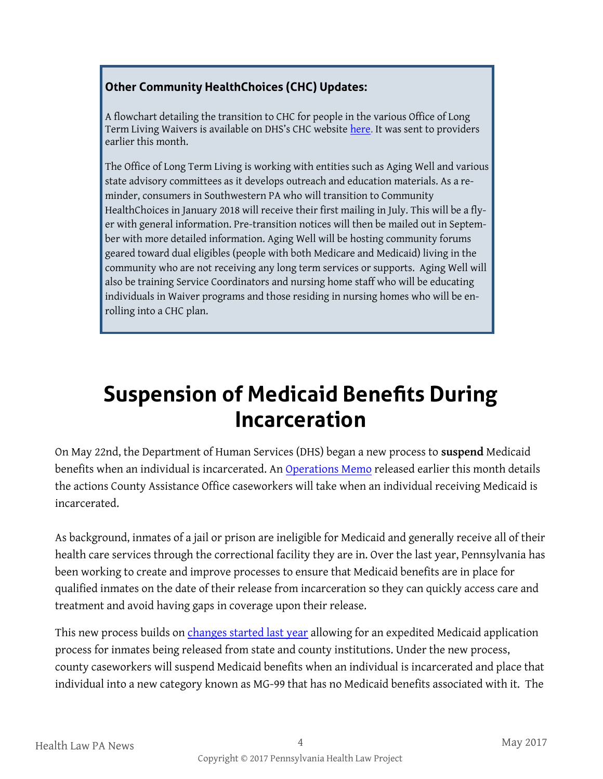#### **Other Community HealthChoices (CHC) Updates:**

A flowchart detailing the transition to CHC for people in the various Office of Long Term Living Waivers is available on DHS's CHC website [here.](http://www.dhs.pa.gov/citizens/communityhealthchoices/ForProviders/index.htm) It was sent to providers earlier this month.

The Office of Long Term Living is working with entities such as Aging Well and various state advisory committees as it develops outreach and education materials. As a reminder, consumers in Southwestern PA who will transition to Community HealthChoices in January 2018 will receive their first mailing in July. This will be a flyer with general information. Pre-transition notices will then be mailed out in September with more detailed information. Aging Well will be hosting community forums geared toward dual eligibles (people with both Medicare and Medicaid) living in the community who are not receiving any long term services or supports. Aging Well will also be training Service Coordinators and nursing home staff who will be educating individuals in Waiver programs and those residing in nursing homes who will be enrolling into a CHC plan.

# **Suspension of Medicaid Benefits During Incarceration**

On May 22nd, the Department of Human Services (DHS) began a new process to **suspend** Medicaid benefits when an individual is incarcerated. An [Operations Memo](http://www.phlp.org/wp-content/uploads/2017/05/OPS-Memo-17-05-01-Suspension-of-Medical-Assistance-MA-Benefits-for-Recipients-Who-Have-Been-Incarcerated.pdf) released earlier this month details the actions County Assistance Office caseworkers will take when an individual receiving Medicaid is incarcerated.

As background, inmates of a jail or prison are ineligible for Medicaid and generally receive all of their health care services through the correctional facility they are in. Over the last year, Pennsylvania has been working to create and improve processes to ensure that Medicaid benefits are in place for qualified inmates on the date of their release from incarceration so they can quickly access care and treatment and avoid having gaps in coverage upon their release.

This new process builds on [changes started last year](http://services.dpw.state.pa.us/oimpolicymanuals/ma/c_249416.docx) allowing for an expedited Medicaid application process for inmates being released from state and county institutions. Under the new process, county caseworkers will suspend Medicaid benefits when an individual is incarcerated and place that individual into a new category known as MG-99 that has no Medicaid benefits associated with it. The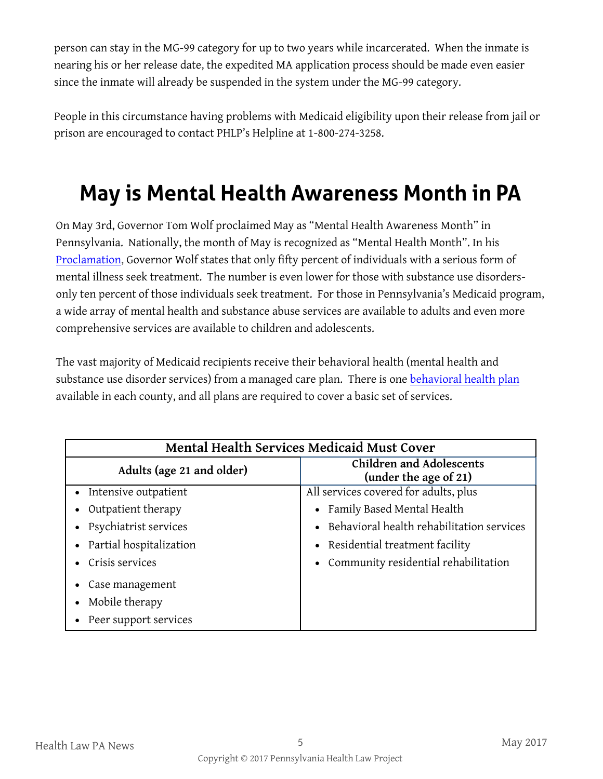person can stay in the MG-99 category for up to two years while incarcerated. When the inmate is nearing his or her release date, the expedited MA application process should be made even easier since the inmate will already be suspended in the system under the MG-99 category.

People in this circumstance having problems with Medicaid eligibility upon their release from jail or prison are encouraged to contact PHLP's Helpline at 1-800-274-3258.

# **May is Mental Health Awareness Month in PA**

On May 3rd, Governor Tom Wolf proclaimed May as "Mental Health Awareness Month" in Pennsylvania. Nationally, the month of May is recognized as "Mental Health Month". In his [Proclamation,](https://www.governor.pa.gov/mental-health-awareness-month-2016/) Governor Wolf states that only fifty percent of individuals with a serious form of mental illness seek treatment. The number is even lower for those with substance use disordersonly ten percent of those individuals seek treatment. For those in Pennsylvania's Medicaid program, a wide array of mental health and substance abuse services are available to adults and even more comprehensive services are available to children and adolescents.

The vast majority of Medicaid recipients receive their behavioral health (mental health and substance use disorder services) from a managed care plan. There is one [behavioral health plan](https://www.enrollnow.net/program-resources) available in each county, and all plans are required to cover a basic set of services.

| Mental Health Services Medicaid Must Cover |                                                          |  |
|--------------------------------------------|----------------------------------------------------------|--|
| Adults (age 21 and older)                  | <b>Children and Adolescents</b><br>(under the age of 21) |  |
| Intensive outpatient                       | All services covered for adults, plus                    |  |
| Outpatient therapy                         | Family Based Mental Health                               |  |
| Psychiatrist services                      | Behavioral health rehabilitation services                |  |
| Partial hospitalization                    | Residential treatment facility                           |  |
| Crisis services                            | Community residential rehabilitation                     |  |
| Case management                            |                                                          |  |
| Mobile therapy                             |                                                          |  |
| Peer support services                      |                                                          |  |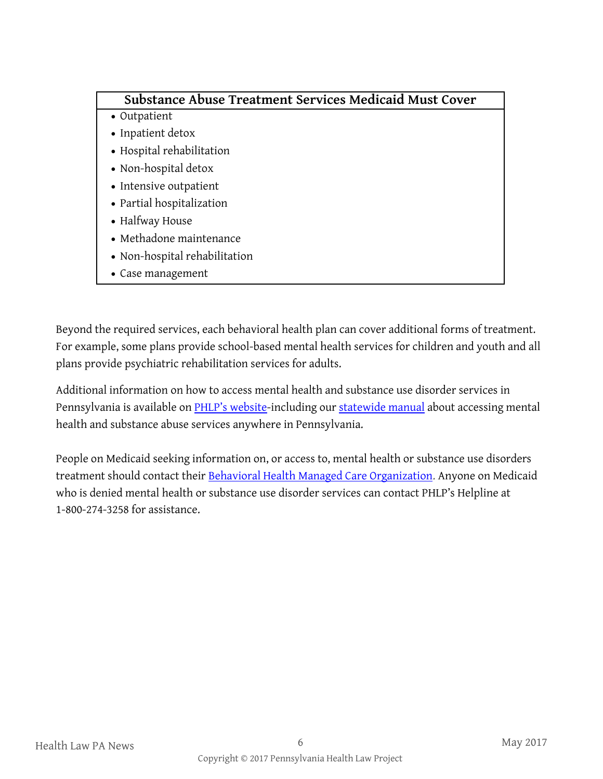#### **Substance Abuse Treatment Services Medicaid Must Cover**

- Outpatient
- Inpatient detox
- Hospital rehabilitation
- Non-hospital detox
- Intensive outpatient
- Partial hospitalization
- Halfway House
- Methadone maintenance
- Non-hospital rehabilitation
- Case management

Beyond the required services, each behavioral health plan can cover additional forms of treatment. For example, some plans provide school-based mental health services for children and youth and all plans provide psychiatric rehabilitation services for adults.

Additional information on how to access mental health and substance use disorder services in Pennsylvania is available on [PHLP's website](http://www.phlp.org/home-page/resources/behavioral-health)-including our [statewide manual](http://www.phlp.org/wp-content/uploads/2011/06/MHDAPub.pdf) about accessing mental health and substance abuse services anywhere in Pennsylvania.

People on Medicaid seeking information on, or access to, mental health or substance use disorders treatment should contact their [Behavioral Health Managed Care Organization.](https://www.enrollnow.net/program-resources) Anyone on Medicaid who is denied mental health or substance use disorder services can contact PHLP's Helpline at 1-800-274-3258 for assistance.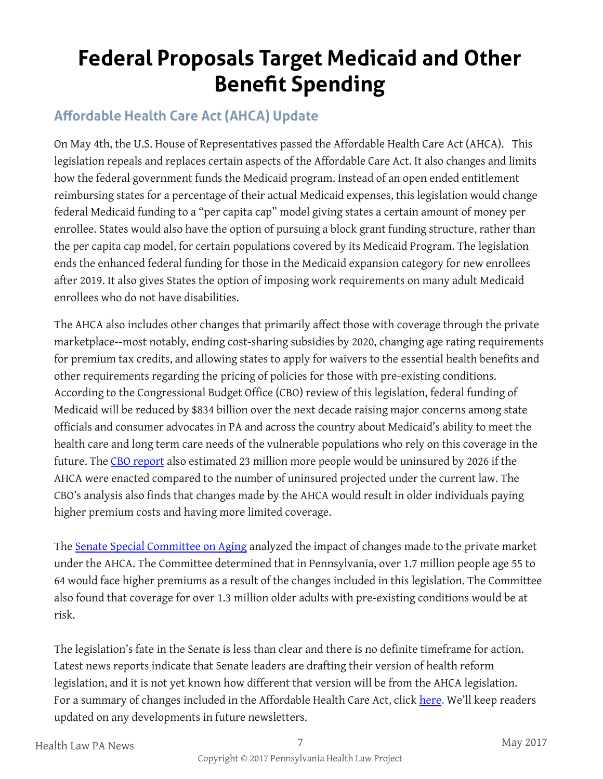# **Federal Proposals Target Medicaid and Other Benefit Spending**

### **Affordable Health Care Act (AHCA) Update**

On May 4th, the U.S. House of Representatives passed the Affordable Health Care Act (AHCA). This legislation repeals and replaces certain aspects of the Affordable Care Act. It also changes and limits how the federal government funds the Medicaid program. Instead of an open ended entitlement reimbursing states for a percentage of their actual Medicaid expenses, this legislation would change federal Medicaid funding to a "per capita cap" model giving states a certain amount of money per enrollee. States would also have the option of pursuing a block grant funding structure, rather than the per capita cap model, for certain populations covered by its Medicaid Program. The legislation ends the enhanced federal funding for those in the Medicaid expansion category for new enrollees after 2019. It also gives States the option of imposing work requirements on many adult Medicaid enrollees who do not have disabilities.

The AHCA also includes other changes that primarily affect those with coverage through the private marketplace--most notably, ending cost-sharing subsidies by 2020, changing age rating requirements for premium tax credits, and allowing states to apply for waivers to the essential health benefits and other requirements regarding the pricing of policies for those with pre-existing conditions. According to the Congressional Budget Office (CBO) review of this legislation, federal funding of Medicaid will be reduced by \$834 billion over the next decade raising major concerns among state officials and consumer advocates in PA and across the country about Medicaid's ability to meet the health care and long term care needs of the vulnerable populations who rely on this coverage in the future. The [CBO report](https://www.cbo.gov/publication/52752) also estimated 23 million more people would be uninsured by 2026 if the AHCA were enacted compared to the number of uninsured projected under the current law. The CBO's analysis also finds that changes made by the AHCA would result in older individuals paying higher premium costs and having more limited coverage.

The [Senate Special Committee on Aging](https://www.aging.senate.gov/imo/media/doc/Pennsylvania1.pdf) analyzed the impact of changes made to the private market under the AHCA. The Committee determined that in Pennsylvania, over 1.7 million people age 55 to 64 would face higher premiums as a result of the changes included in this legislation. The Committee also found that coverage for over 1.3 million older adults with pre-existing conditions would be at risk.

The legislation's fate in the Senate is less than clear and there is no definite timeframe for action. Latest news reports indicate that Senate leaders are drafting their version of health reform legislation, and it is not yet known how different that version will be from the AHCA legislation. For a summary of changes included in the Affordable Health Care Act, click [here.](http://files.kff.org/attachment/Proposals-to-Replace-the-Affordable-Care-Act-Summary-of-the-American-Health-Care-Act) We'll keep readers updated on any developments in future newsletters.

Health Law PA News 7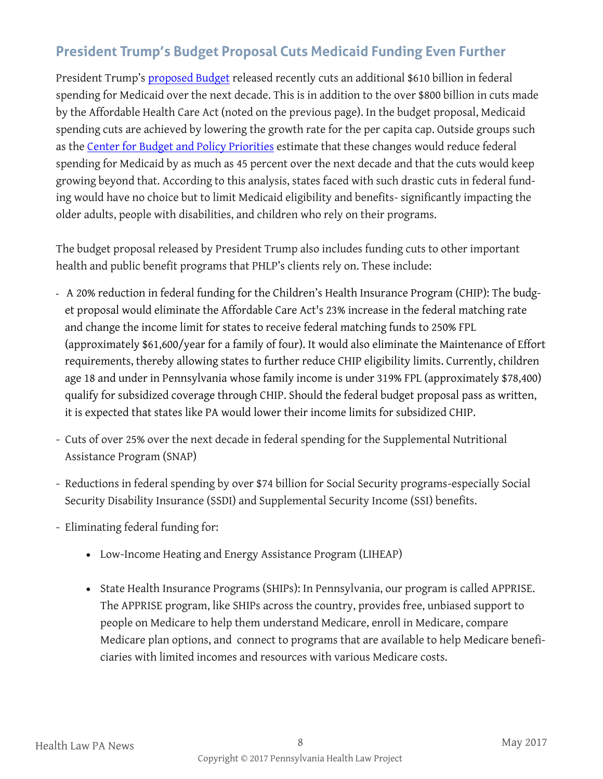### **President Trump's Budget Proposal Cuts Medicaid Funding Even Further**

President Trump's [proposed Budget](https://www.gpo.gov/fdsys/pkg/BUDGET-2018-MSV/pdf/BUDGET-2018-MSV.pdf) released recently cuts an additional \$610 billion in federal spending for Medicaid over the next decade. This is in addition to the over \$800 billion in cuts made by the Affordable Health Care Act (noted on the previous page). In the budget proposal, Medicaid spending cuts are achieved by lowering the growth rate for the per capita cap. Outside groups such as the [Center for Budget and Policy Priorities](http://www.cbpp.org/blog/trump-budget-cuts-medicaid-even-more-than-house-health-bill-showing-danger-of-per-capita-cap) estimate that these changes would reduce federal spending for Medicaid by as much as 45 percent over the next decade and that the cuts would keep growing beyond that. According to this analysis, states faced with such drastic cuts in federal funding would have no choice but to limit Medicaid eligibility and benefits- significantly impacting the older adults, people with disabilities, and children who rely on their programs.

The budget proposal released by President Trump also includes funding cuts to other important health and public benefit programs that PHLP's clients rely on. These include:

- A 20% reduction in federal funding for the Children's Health Insurance Program (CHIP): The budget proposal would eliminate the Affordable Care Act's 23% increase in the federal matching rate and change the income limit for states to receive federal matching funds to 250% FPL (approximately \$61,600/year for a family of four). It would also eliminate the Maintenance of Effort requirements, thereby allowing states to further reduce CHIP eligibility limits. Currently, children age 18 and under in Pennsylvania whose family income is under 319% FPL (approximately \$78,400) qualify for subsidized coverage through CHIP. Should the federal budget proposal pass as written, it is expected that states like PA would lower their income limits for subsidized CHIP.
- Cuts of over 25% over the next decade in federal spending for the Supplemental Nutritional Assistance Program (SNAP)
- Reductions in federal spending by over \$74 billion for Social Security programs-especially Social Security Disability Insurance (SSDI) and Supplemental Security Income (SSI) benefits.
- Eliminating federal funding for:
	- Low-Income Heating and Energy Assistance Program (LIHEAP)
	- State Health Insurance Programs (SHIPs): In Pennsylvania, our program is called APPRISE. The APPRISE program, like SHIPs across the country, provides free, unbiased support to people on Medicare to help them understand Medicare, enroll in Medicare, compare Medicare plan options, and connect to programs that are available to help Medicare beneficiaries with limited incomes and resources with various Medicare costs.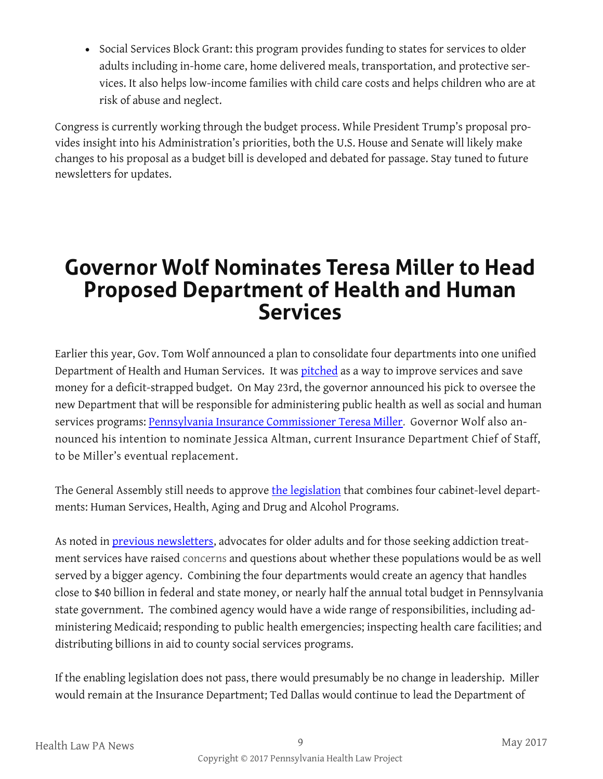• Social Services Block Grant: this program provides funding to states for services to older adults including in-home care, home delivered meals, transportation, and protective services. It also helps low-income families with child care costs and helps children who are at risk of abuse and neglect.

Congress is currently working through the budget process. While President Trump's proposal provides insight into his Administration's priorities, both the U.S. House and Senate will likely make changes to his proposal as a budget bill is developed and debated for passage. Stay tuned to future newsletters for updates.

### **Governor Wolf Nominates Teresa Miller to Head Proposed Department of Health and Human Services**

Earlier this year, Gov. Tom Wolf announced a plan to consolidate four departments into one unified Department of Health and Human Services. It was [pitched](https://www.governor.pa.gov/health-and-human-services/) as a way to improve services and save money for a deficit-strapped budget. On May 23rd, the governor announced his pick to oversee the new Department that will be responsible for administering public health as well as social and human services programs: [Pennsylvania Insurance Commissioner Teresa Miller.](https://www.governor.pa.gov/governor-wolf-to-nominate-insurance-commissioner-teresa-miller-to-be-inaugural-secretary-of-health-and-human-services/) Governor Wolf also announced his intention to nominate Jessica Altman, current Insurance Department Chief of Staff, to be Miller's eventual replacement.

The General Assembly still needs to approve [the legislation](https://www.governor.pa.gov/health-and-human-services/#legislation) that combines four cabinet-level departments: Human Services, Health, Aging and Drug and Alcohol Programs.

As noted in [previous newsletters,](http://www.phlp.org/wp-content/uploads/2017/03/Feb-2017-HLN-updated.pdf) advocates for older adults and for those seeking addiction treatment services have raised concerns and questions about whether these populations would be as well served by a bigger agency. Combining the four departments would create an agency that handles close to \$40 billion in federal and state money, or nearly half the annual total budget in Pennsylvania state government. The combined agency would have a wide range of responsibilities, including administering Medicaid; responding to public health emergencies; inspecting health care facilities; and distributing billions in aid to county social services programs.

If the enabling legislation does not pass, there would presumably be no change in leadership. Miller would remain at the Insurance Department; Ted Dallas would continue to lead the Department of